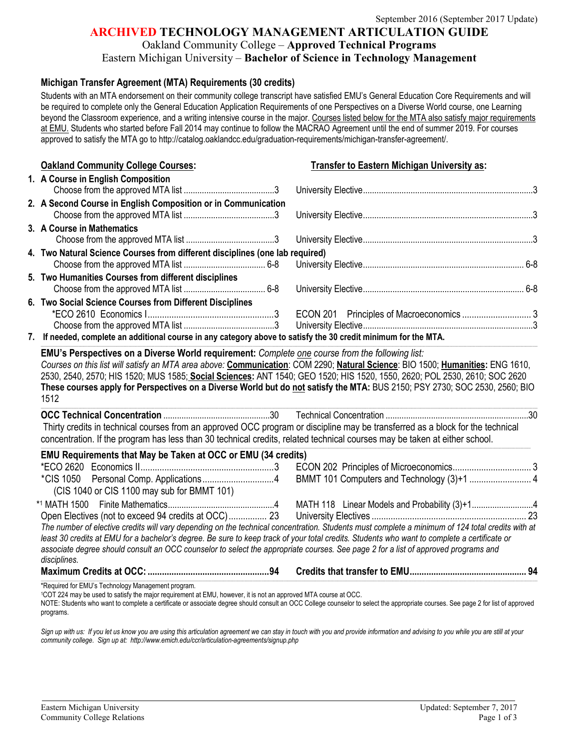### **ARCHIVED TECHNOLOGY MANAGEMENT ARTICULATION GUIDE**

#### Oakland Community College – **Approved Technical Programs**

Eastern Michigan University – **Bachelor of Science in Technology Management**

#### **Michigan Transfer Agreement (MTA) Requirements (30 credits)**

Students with an MTA endorsement on their community college transcript have satisfied EMU's General Education Core Requirements and will be required to complete only the General Education Application Requirements of one Perspectives on a Diverse World course, one Learning beyond the Classroom experience, and a writing intensive course in the major. Courses listed below for the MTA also satisfy major requirements at EMU. Students who started before Fall 2014 may continue to follow the MACRAO Agreement until the end of summer 2019. For courses approved to satisfy the MTA go to http://catalog.oaklandcc.edu/graduation-requirements/michigan-transfer-agreement/.

| <b>Oakland Community College Courses:</b>                                                                                                                                                                                                                                                                                                                                                                                                              | <b>Transfer to Eastern Michigan University as:</b> |
|--------------------------------------------------------------------------------------------------------------------------------------------------------------------------------------------------------------------------------------------------------------------------------------------------------------------------------------------------------------------------------------------------------------------------------------------------------|----------------------------------------------------|
| 1. A Course in English Composition                                                                                                                                                                                                                                                                                                                                                                                                                     |                                                    |
|                                                                                                                                                                                                                                                                                                                                                                                                                                                        |                                                    |
| 2. A Second Course in English Composition or in Communication                                                                                                                                                                                                                                                                                                                                                                                          |                                                    |
|                                                                                                                                                                                                                                                                                                                                                                                                                                                        |                                                    |
| 3. A Course in Mathematics                                                                                                                                                                                                                                                                                                                                                                                                                             |                                                    |
|                                                                                                                                                                                                                                                                                                                                                                                                                                                        |                                                    |
| 4. Two Natural Science Courses from different disciplines (one lab required)                                                                                                                                                                                                                                                                                                                                                                           |                                                    |
|                                                                                                                                                                                                                                                                                                                                                                                                                                                        |                                                    |
| 5. Two Humanities Courses from different disciplines                                                                                                                                                                                                                                                                                                                                                                                                   |                                                    |
| 6. Two Social Science Courses from Different Disciplines                                                                                                                                                                                                                                                                                                                                                                                               |                                                    |
|                                                                                                                                                                                                                                                                                                                                                                                                                                                        |                                                    |
|                                                                                                                                                                                                                                                                                                                                                                                                                                                        |                                                    |
| 7. If needed, complete an additional course in any category above to satisfy the 30 credit minimum for the MTA.                                                                                                                                                                                                                                                                                                                                        |                                                    |
| 1512<br>Thirty credits in technical courses from an approved OCC program or discipline may be transferred as a block for the technical                                                                                                                                                                                                                                                                                                                 |                                                    |
| concentration. If the program has less than 30 technical credits, related technical courses may be taken at either school.                                                                                                                                                                                                                                                                                                                             |                                                    |
| EMU Requirements that May be Taken at OCC or EMU (34 credits)                                                                                                                                                                                                                                                                                                                                                                                          |                                                    |
|                                                                                                                                                                                                                                                                                                                                                                                                                                                        |                                                    |
| (CIS 1040 or CIS 1100 may sub for BMMT 101)                                                                                                                                                                                                                                                                                                                                                                                                            | BMMT 101 Computers and Technology (3)+1  4         |
|                                                                                                                                                                                                                                                                                                                                                                                                                                                        |                                                    |
| Open Electives (not to exceed 94 credits at OCC) 23                                                                                                                                                                                                                                                                                                                                                                                                    |                                                    |
| The number of elective credits will vary depending on the technical concentration. Students must complete a minimum of 124 total credits with at<br>least 30 credits at EMU for a bachelor's degree. Be sure to keep track of your total credits. Students who want to complete a certificate or<br>associate degree should consult an OCC counselor to select the appropriate courses. See page 2 for a list of approved programs and<br>disciplines. |                                                    |
|                                                                                                                                                                                                                                                                                                                                                                                                                                                        |                                                    |
| *Required for EMU's Technology Management program.<br>1COT 224 may be used to satisfy the major requirement at EMU, however, it is not an approved MTA course at OCC.<br>NOTE: Students who want to complete a certificate or associate degree should consult an OCC College counselor to select the appropriate courses. See page 2 for list of approved                                                                                              |                                                    |

Sign up with us: If you let us know you are using this articulation agreement we can stay in touch with you and provide information and advising to you while you are still at your *community college. Sign up at: http://www.emich.edu/ccr/articulation-agreements/signup.php*

programs.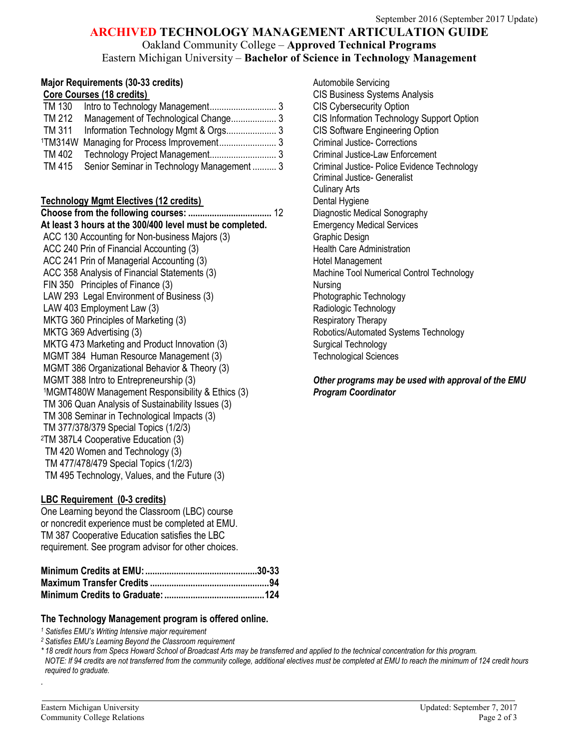### **ARCHIVED TECHNOLOGY MANAGEMENT ARTICULATION GUIDE**

Oakland Community College – **Approved Technical Programs** Eastern Michigan University – **Bachelor of Science in Technology Management**

# **Major Requirements (30-33 credits)**<br> **Core Courses (18 credits)** COP CONSERVICIS Business System

| TM 130 |                                                  |  |
|--------|--------------------------------------------------|--|
| TM 212 | Management of Technological Change 3             |  |
| TM 311 |                                                  |  |
|        |                                                  |  |
|        |                                                  |  |
|        | TM 415 Senior Seminar in Technology Management 3 |  |
|        |                                                  |  |

#### **Technology Mgmt Electives (12 credits) Dental Hygiene** Dental Hygiene

**Choose from the following courses: ...................................** 12 Diagnostic Medical Sonography At least 3 hours at the 300/400 level must be completed. Emergency Medical Services ACC 130 Accounting for Non-business Majors (3) Graphic Design ACC 240 Prin of Financial Accounting (3) The Matter of Health Care Administration ACC 241 Prin of Managerial Accounting (3) Hotel Management ACC 358 Analysis of Financial Statements (3) Machine Tool Numerical Control Technology FIN 350 Principles of Finance (3) Nursing LAW 293 Legal Environment of Business (3) The Photographic Technology LAW 403 Employment Law (3) Contract Contract Contract Contract Contract Contract Contract Contract Contract Contract Contract Contract Contract Contract Contract Contract Contract Contract Contract Contract Contract Contra MKTG 360 Principles of Marketing (3) Respiratory Therapy MKTG 369 Advertising (3) MKTG 369 Advertising (3) MKTG 473 Marketing and Product Innovation (3) Surgical Technology MGMT 384 Human Resource Management (3) Technological Sciences MGMT 386 Organizational Behavior & Theory (3) MGMT 388 Intro to Entrepreneurship (3) *Other programs may be used with approval of the EMU* 1MGMT480W Management Responsibility & Ethics (3) *Program Coordinator* TM 306 Quan Analysis of Sustainability Issues (3) TM 308 Seminar in Technological Impacts (3) TM 377/378/379 Special Topics (1/2/3) 2TM 387L4 Cooperative Education (3) TM 420 Women and Technology (3) TM 477/478/479 Special Topics (1/2/3) TM 495 Technology, Values, and the Future (3)

### **LBC Requirement (0-3 credits)**

One Learning beyond the Classroom (LBC) course or noncredit experience must be completed at EMU. TM 387 Cooperative Education satisfies the LBC requirement. See program advisor for other choices.

#### **The Technology Management program is offered online.**

*<sup>1</sup> Satisfies EMU's Writing Intensive major requirement*

*<sup>2</sup> Satisfies EMU's Learning Beyond the Classroom requirement*

*\* 18 credit hours from Specs Howard School of Broadcast Arts may be transferred and applied to the technical concentration for this program.*

*NOTE: If 94 credits are not transferred from the community college, additional electives must be completed at EMU to reach the minimum of 124 credit hours required to graduate.*

**CIS Business Systems Analysis CIS Cybersecurity Option. CIS Information Technology Support Option CIS Software Engineering Option** Criminal Justice- Corrections. Criminal Justice-Law Enforcement. Criminal Justice- Police Evidence Technology Criminal Justice- Generalist Culinary Arts

*.*